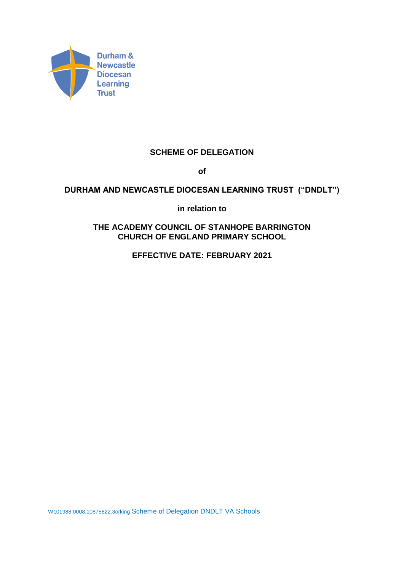

# **SCHEME OF DELEGATION**

**of**

# **DURHAM AND NEWCASTLE DIOCESAN LEARNING TRUST ("DNDLT")**

**in relation to**

**THE ACADEMY COUNCIL OF STANHOPE BARRINGTON CHURCH OF ENGLAND PRIMARY SCHOOL**

**EFFECTIVE DATE: FEBRUARY 2021**

W101988.0008.10875822.3orking Scheme of Delegation DNDLT VA Schools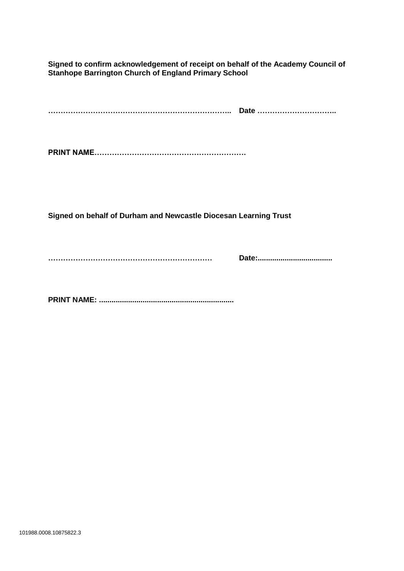**Signed to confirm acknowledgement of receipt on behalf of the Academy Council of Stanhope Barrington Church of England Primary School**

**……………………………………………………………….. Date …………………………..**

**PRINT NAME…………………………………………………….**

**Signed on behalf of Durham and Newcastle Diocesan Learning Trust**

**………………………………………………………… Date:....................................**

**PRINT NAME: .................................................................**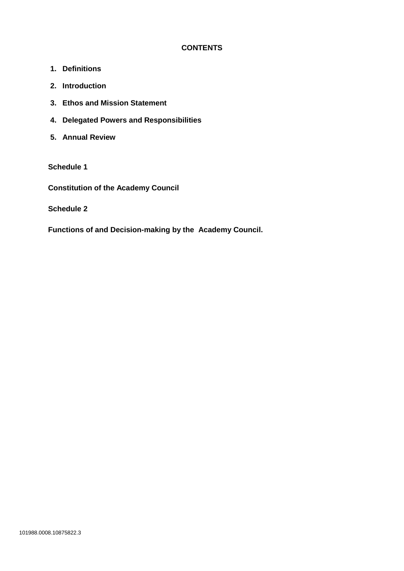# **CONTENTS**

- **1. Definitions**
- **2. Introduction**
- **3. Ethos and Mission Statement**
- **4. Delegated Powers and Responsibilities**
- **5. Annual Review**

## **Schedule 1**

**Constitution of the Academy Council**

**Schedule 2**

**Functions of and Decision-making by the Academy Council.**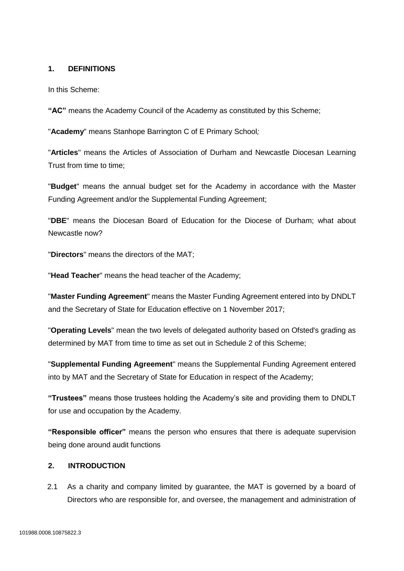### **1. DEFINITIONS**

In this Scheme:

**"AC"** means the Academy Council of the Academy as constituted by this Scheme;

"**Academy**" means Stanhope Barrington C of E Primary School*;*

"**Articles**" means the Articles of Association of Durham and Newcastle Diocesan Learning Trust from time to time;

"**Budget**" means the annual budget set for the Academy in accordance with the Master Funding Agreement and/or the Supplemental Funding Agreement;

"**DBE**" means the Diocesan Board of Education for the Diocese of Durham; what about Newcastle now?

"**Directors**" means the directors of the MAT;

"**Head Teacher**" means the head teacher of the Academy;

"**Master Funding Agreement**" means the Master Funding Agreement entered into by DNDLT and the Secretary of State for Education effective on 1 November 2017;

"**Operating Levels**" mean the two levels of delegated authority based on Ofsted's grading as determined by MAT from time to time as set out in Schedule 2 of this Scheme;

"**Supplemental Funding Agreement**" means the Supplemental Funding Agreement entered into by MAT and the Secretary of State for Education in respect of the Academy;

**"Trustees"** means those trustees holding the Academy's site and providing them to DNDLT for use and occupation by the Academy.

**"Responsible officer"** means the person who ensures that there is adequate supervision being done around audit functions

### **2. INTRODUCTION**

2.1 As a charity and company limited by guarantee, the MAT is governed by a board of Directors who are responsible for, and oversee, the management and administration of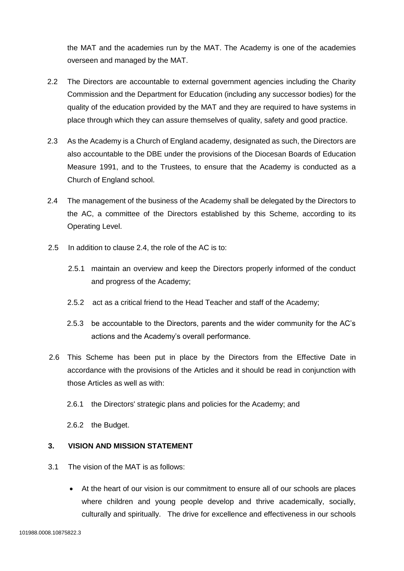the MAT and the academies run by the MAT. The Academy is one of the academies overseen and managed by the MAT.

- 2.2 The Directors are accountable to external government agencies including the Charity Commission and the Department for Education (including any successor bodies) for the quality of the education provided by the MAT and they are required to have systems in place through which they can assure themselves of quality, safety and good practice.
- 2.3 As the Academy is a Church of England academy, designated as such, the Directors are also accountable to the DBE under the provisions of the Diocesan Boards of Education Measure 1991, and to the Trustees, to ensure that the Academy is conducted as a Church of England school.
- 2.4 The management of the business of the Academy shall be delegated by the Directors to the AC, a committee of the Directors established by this Scheme, according to its Operating Level.
- 2.5 In addition to clause 2.4, the role of the AC is to:
	- 2.5.1 maintain an overview and keep the Directors properly informed of the conduct and progress of the Academy;
	- 2.5.2 act as a critical friend to the Head Teacher and staff of the Academy;
	- 2.5.3 be accountable to the Directors, parents and the wider community for the AC's actions and the Academy's overall performance.
- 2.6 This Scheme has been put in place by the Directors from the Effective Date in accordance with the provisions of the Articles and it should be read in conjunction with those Articles as well as with:
	- 2.6.1 the Directors' strategic plans and policies for the Academy; and
	- 2.6.2 the Budget.

### **3. VISION AND MISSION STATEMENT**

- 3.1 The vision of the MAT is as follows:
	- At the heart of our vision is our commitment to ensure all of our schools are places where children and young people develop and thrive academically, socially, culturally and spiritually. The drive for excellence and effectiveness in our schools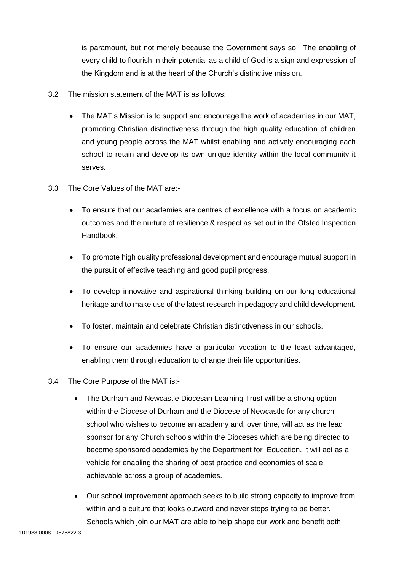is paramount, but not merely because the Government says so. The enabling of every child to flourish in their potential as a child of God is a sign and expression of the Kingdom and is at the heart of the Church's distinctive mission.

- 3.2 The mission statement of the MAT is as follows:
	- The MAT's Mission is to support and encourage the work of academies in our MAT, promoting Christian distinctiveness through the high quality education of children and young people across the MAT whilst enabling and actively encouraging each school to retain and develop its own unique identity within the local community it serves.
- 3.3 The Core Values of the MAT are:-
	- To ensure that our academies are centres of excellence with a focus on academic outcomes and the nurture of resilience & respect as set out in the Ofsted Inspection Handbook.
	- To promote high quality professional development and encourage mutual support in the pursuit of effective teaching and good pupil progress.
	- To develop innovative and aspirational thinking building on our long educational heritage and to make use of the latest research in pedagogy and child development.
	- To foster, maintain and celebrate Christian distinctiveness in our schools.
	- To ensure our academies have a particular vocation to the least advantaged, enabling them through education to change their life opportunities.
- 3.4 The Core Purpose of the MAT is:-
	- The Durham and Newcastle Diocesan Learning Trust will be a strong option within the Diocese of Durham and the Diocese of Newcastle for any church school who wishes to become an academy and, over time, will act as the lead sponsor for any Church schools within the Dioceses which are being directed to become sponsored academies by the Department for Education. It will act as a vehicle for enabling the sharing of best practice and economies of scale achievable across a group of academies.
	- Our school improvement approach seeks to build strong capacity to improve from within and a culture that looks outward and never stops trying to be better. Schools which join our MAT are able to help shape our work and benefit both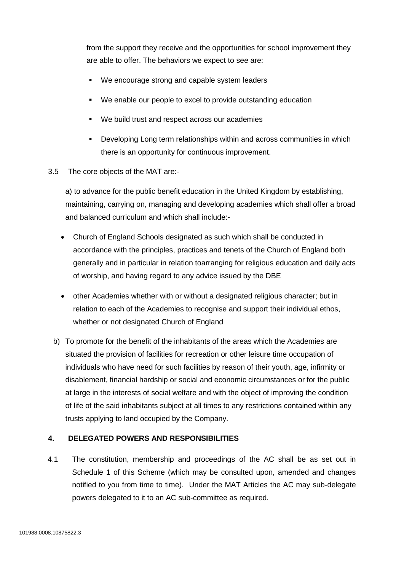from the support they receive and the opportunities for school improvement they are able to offer. The behaviors we expect to see are:

- We encourage strong and capable system leaders
- We enable our people to excel to provide outstanding education
- We build trust and respect across our academies
- **•** Developing Long term relationships within and across communities in which there is an opportunity for continuous improvement.
- 3.5 The core objects of the MAT are:-

a) to advance for the public benefit education in the United Kingdom by establishing, maintaining, carrying on, managing and developing academies which shall offer a broad and balanced curriculum and which shall include:-

- Church of England Schools designated as such which shall be conducted in accordance with the principles, practices and tenets of the Church of England both generally and in particular in relation toarranging for religious education and daily acts of worship, and having regard to any advice issued by the DBE
- other Academies whether with or without a designated religious character; but in relation to each of the Academies to recognise and support their individual ethos, whether or not designated Church of England
- b) To promote for the benefit of the inhabitants of the areas which the Academies are situated the provision of facilities for recreation or other leisure time occupation of individuals who have need for such facilities by reason of their youth, age, infirmity or disablement, financial hardship or social and economic circumstances or for the public at large in the interests of social welfare and with the object of improving the condition of life of the said inhabitants subject at all times to any restrictions contained within any trusts applying to land occupied by the Company.

### **4. DELEGATED POWERS AND RESPONSIBILITIES**

4.1 The constitution, membership and proceedings of the AC shall be as set out in Schedule 1 of this Scheme (which may be consulted upon, amended and changes notified to you from time to time). Under the MAT Articles the AC may sub-delegate powers delegated to it to an AC sub-committee as required.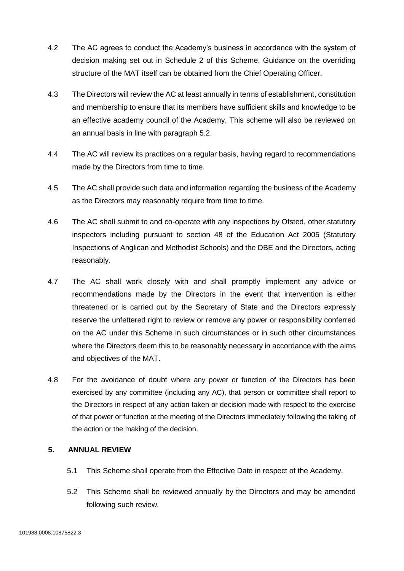- 4.2 The AC agrees to conduct the Academy's business in accordance with the system of decision making set out in Schedule 2 of this Scheme. Guidance on the overriding structure of the MAT itself can be obtained from the Chief Operating Officer.
- 4.3 The Directors will review the AC at least annually in terms of establishment, constitution and membership to ensure that its members have sufficient skills and knowledge to be an effective academy council of the Academy. This scheme will also be reviewed on an annual basis in line with paragraph 5.2.
- 4.4 The AC will review its practices on a regular basis, having regard to recommendations made by the Directors from time to time.
- 4.5 The AC shall provide such data and information regarding the business of the Academy as the Directors may reasonably require from time to time.
- 4.6 The AC shall submit to and co-operate with any inspections by Ofsted, other statutory inspectors including pursuant to section 48 of the Education Act 2005 (Statutory Inspections of Anglican and Methodist Schools) and the DBE and the Directors, acting reasonably.
- 4.7 The AC shall work closely with and shall promptly implement any advice or recommendations made by the Directors in the event that intervention is either threatened or is carried out by the Secretary of State and the Directors expressly reserve the unfettered right to review or remove any power or responsibility conferred on the AC under this Scheme in such circumstances or in such other circumstances where the Directors deem this to be reasonably necessary in accordance with the aims and objectives of the MAT.
- 4.8 For the avoidance of doubt where any power or function of the Directors has been exercised by any committee (including any AC), that person or committee shall report to the Directors in respect of any action taken or decision made with respect to the exercise of that power or function at the meeting of the Directors immediately following the taking of the action or the making of the decision.

# **5. ANNUAL REVIEW**

- 5.1 This Scheme shall operate from the Effective Date in respect of the Academy.
- 5.2 This Scheme shall be reviewed annually by the Directors and may be amended following such review.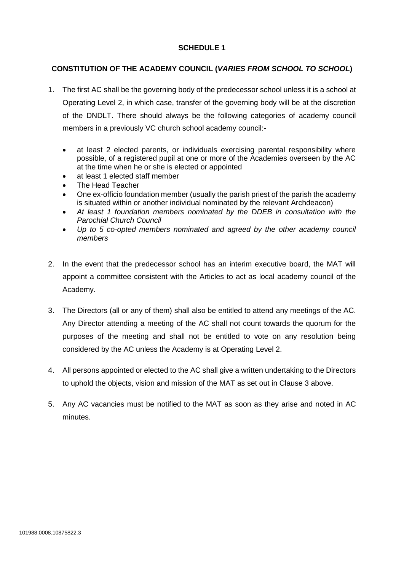## **SCHEDULE 1**

# **CONSTITUTION OF THE ACADEMY COUNCIL (***VARIES FROM SCHOOL TO SCHOOL***)**

- 1. The first AC shall be the governing body of the predecessor school unless it is a school at Operating Level 2, in which case, transfer of the governing body will be at the discretion of the DNDLT. There should always be the following categories of academy council members in a previously VC church school academy council:-
	- at least 2 elected parents, or individuals exercising parental responsibility where possible, of a registered pupil at one or more of the Academies overseen by the AC at the time when he or she is elected or appointed
	- at least 1 elected staff member
	- The Head Teacher
	- One ex-officio foundation member (usually the parish priest of the parish the academy is situated within or another individual nominated by the relevant Archdeacon)
	- *At least 1 foundation members nominated by the DDEB in consultation with the Parochial Church Council*
	- *Up to 5 co-opted members nominated and agreed by the other academy council members*
- 2. In the event that the predecessor school has an interim executive board, the MAT will appoint a committee consistent with the Articles to act as local academy council of the Academy.
- 3. The Directors (all or any of them) shall also be entitled to attend any meetings of the AC. Any Director attending a meeting of the AC shall not count towards the quorum for the purposes of the meeting and shall not be entitled to vote on any resolution being considered by the AC unless the Academy is at Operating Level 2.
- 4. All persons appointed or elected to the AC shall give a written undertaking to the Directors to uphold the objects, vision and mission of the MAT as set out in Clause 3 above.
- 5. Any AC vacancies must be notified to the MAT as soon as they arise and noted in AC minutes.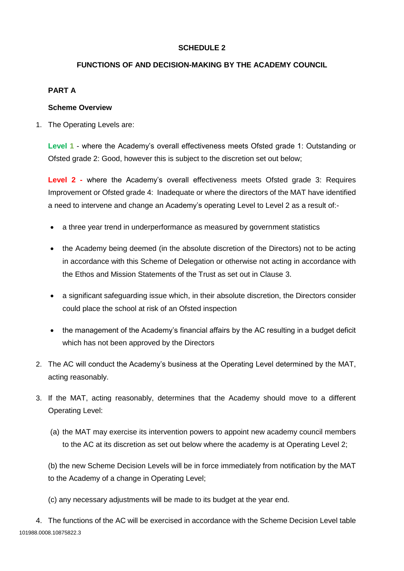# **SCHEDULE 2**

## **FUNCTIONS OF AND DECISION-MAKING BY THE ACADEMY COUNCIL**

### **PART A**

#### **Scheme Overview**

1. The Operating Levels are:

**Level 1** - where the Academy's overall effectiveness meets Ofsted grade 1: Outstanding or Ofsted grade 2: Good, however this is subject to the discretion set out below;

**Level 2 -** where the Academy's overall effectiveness meets Ofsted grade 3: Requires Improvement or Ofsted grade 4: Inadequate or where the directors of the MAT have identified a need to intervene and change an Academy's operating Level to Level 2 as a result of:-

- a three year trend in underperformance as measured by government statistics
- the Academy being deemed (in the absolute discretion of the Directors) not to be acting in accordance with this Scheme of Delegation or otherwise not acting in accordance with the Ethos and Mission Statements of the Trust as set out in Clause 3.
- a significant safeguarding issue which, in their absolute discretion, the Directors consider could place the school at risk of an Ofsted inspection
- the management of the Academy's financial affairs by the AC resulting in a budget deficit which has not been approved by the Directors
- 2. The AC will conduct the Academy's business at the Operating Level determined by the MAT, acting reasonably.
- 3. If the MAT, acting reasonably, determines that the Academy should move to a different Operating Level:
	- (a) the MAT may exercise its intervention powers to appoint new academy council members to the AC at its discretion as set out below where the academy is at Operating Level 2;

(b) the new Scheme Decision Levels will be in force immediately from notification by the MAT to the Academy of a change in Operating Level;

(c) any necessary adjustments will be made to its budget at the year end.

101988.0008.10875822.3 4. The functions of the AC will be exercised in accordance with the Scheme Decision Level table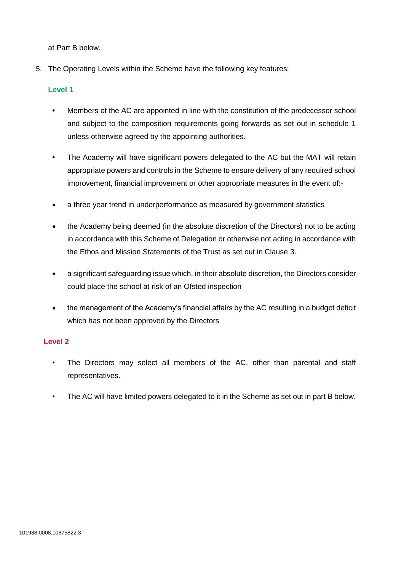at Part B below.

5. The Operating Levels within the Scheme have the following key features:

### **Level 1**

- **•** Members of the AC are appointed in line with the constitution of the predecessor school and subject to the composition requirements going forwards as set out in schedule 1 unless otherwise agreed by the appointing authorities.
- **•** The Academy will have significant powers delegated to the AC but the MAT will retain appropriate powers and controls in the Scheme to ensure delivery of any required school improvement, financial improvement or other appropriate measures in the event of:-
- a three year trend in underperformance as measured by government statistics
- the Academy being deemed (in the absolute discretion of the Directors) not to be acting in accordance with this Scheme of Delegation or otherwise not acting in accordance with the Ethos and Mission Statements of the Trust as set out in Clause 3.
- a significant safeguarding issue which, in their absolute discretion, the Directors consider could place the school at risk of an Ofsted inspection
- the management of the Academy's financial affairs by the AC resulting in a budget deficit which has not been approved by the Directors

### **Level 2**

- The Directors may select all members of the AC, other than parental and staff representatives.
- The AC will have limited powers delegated to it in the Scheme as set out in part B below.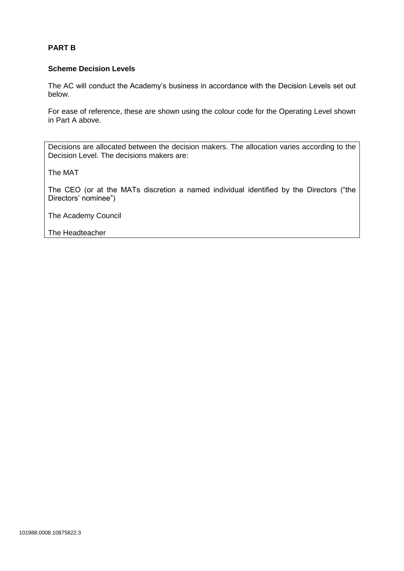### **PART B**

#### **Scheme Decision Levels**

The AC will conduct the Academy's business in accordance with the Decision Levels set out below.

For ease of reference, these are shown using the colour code for the Operating Level shown in Part A above.

Decisions are allocated between the decision makers. The allocation varies according to the Decision Level. The decisions makers are:

The MAT

The CEO (or at the MATs discretion a named individual identified by the Directors ("the Directors' nominee")

The Academy Council

The Headteacher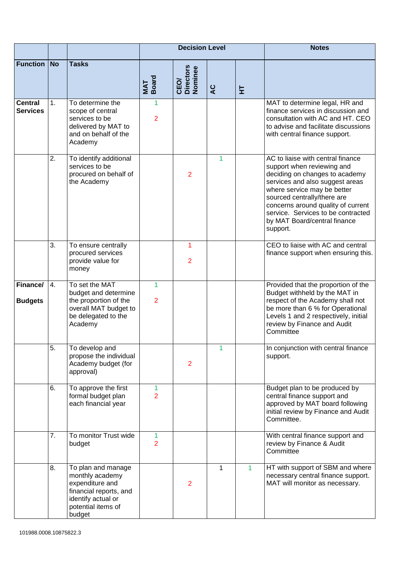|                                   |    |                                                                                                                                          |                                | <b>Decision Level</b>        |                |    | <b>Notes</b>                                                                                                                                                                                                                                                                                                               |
|-----------------------------------|----|------------------------------------------------------------------------------------------------------------------------------------------|--------------------------------|------------------------------|----------------|----|----------------------------------------------------------------------------------------------------------------------------------------------------------------------------------------------------------------------------------------------------------------------------------------------------------------------------|
| <b>Function No</b>                |    | <b>Tasks</b>                                                                                                                             | MAT<br>Board                   | CEO/<br>Directors<br>Nominee | $\overline{a}$ | 보  |                                                                                                                                                                                                                                                                                                                            |
| <b>Central</b><br><b>Services</b> | 1. | To determine the<br>scope of central<br>services to be<br>delivered by MAT to<br>and on behalf of the<br>Academy                         | 1<br>$\overline{2}$            |                              |                |    | MAT to determine legal, HR and<br>finance services in discussion and<br>consultation with AC and HT. CEO<br>to advise and facilitate discussions<br>with central finance support.                                                                                                                                          |
|                                   | 2. | To identify additional<br>services to be<br>procured on behalf of<br>the Academy                                                         |                                | 2                            | 1              |    | AC to liaise with central finance<br>support when reviewing and<br>deciding on changes to academy<br>services and also suggest areas<br>where service may be better<br>sourced centrally/there are<br>concerns around quality of current<br>service. Services to be contracted<br>by MAT Board/central finance<br>support. |
|                                   | 3. | To ensure centrally<br>procured services<br>provide value for<br>money                                                                   |                                | 1<br>2                       |                |    | CEO to liaise with AC and central<br>finance support when ensuring this.                                                                                                                                                                                                                                                   |
| Finance/<br><b>Budgets</b>        | 4. | To set the MAT<br>budget and determine<br>the proportion of the<br>overall MAT budget to<br>be delegated to the<br>Academy               | $\mathbf{1}$<br>$\overline{2}$ |                              |                |    | Provided that the proportion of the<br>Budget withheld by the MAT in<br>respect of the Academy shall not<br>be more than 6 % for Operational<br>Levels 1 and 2 respectively, initial<br>review by Finance and Audit<br>Committee                                                                                           |
|                                   | 5. | To develop and<br>propose the individual<br>Academy budget (for<br>approval)                                                             |                                | 2                            |                |    | In conjunction with central finance<br>support.                                                                                                                                                                                                                                                                            |
|                                   | 6. | To approve the first<br>formal budget plan<br>each financial year                                                                        | 1<br>$\overline{2}$            |                              |                |    | Budget plan to be produced by<br>central finance support and<br>approved by MAT board following<br>initial review by Finance and Audit<br>Committee.                                                                                                                                                                       |
|                                   | 7. | To monitor Trust wide<br>budget                                                                                                          | 1<br>$\overline{2}$            |                              |                |    | With central finance support and<br>review by Finance & Audit<br>Committee                                                                                                                                                                                                                                                 |
|                                   | 8. | To plan and manage<br>monthly academy<br>expenditure and<br>financial reports, and<br>identify actual or<br>potential items of<br>budget |                                | 2                            | 1              | 1. | HT with support of SBM and where<br>necessary central finance support.<br>MAT will monitor as necessary.                                                                                                                                                                                                                   |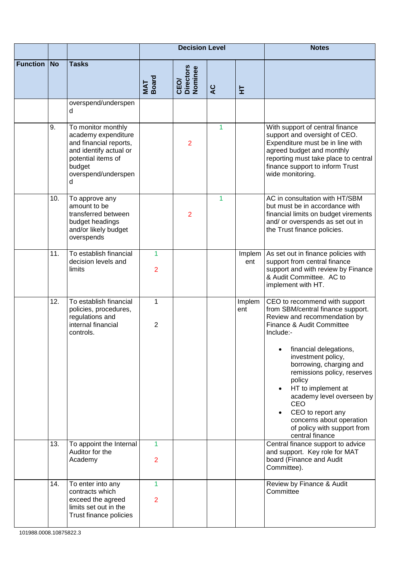|                 |           |                                                                                                                                                           |                     | <b>Decision Level</b>        |                |               | <b>Notes</b>                                                                                                                                                                                                                                                                                                                                                                                                                  |
|-----------------|-----------|-----------------------------------------------------------------------------------------------------------------------------------------------------------|---------------------|------------------------------|----------------|---------------|-------------------------------------------------------------------------------------------------------------------------------------------------------------------------------------------------------------------------------------------------------------------------------------------------------------------------------------------------------------------------------------------------------------------------------|
| <b>Function</b> | <b>No</b> | <b>Tasks</b>                                                                                                                                              | MAT<br>Board        | CEO/<br>Directors<br>Nominee | $\overline{a}$ | 보             |                                                                                                                                                                                                                                                                                                                                                                                                                               |
|                 |           | overspend/underspen<br>d                                                                                                                                  |                     |                              |                |               |                                                                                                                                                                                                                                                                                                                                                                                                                               |
|                 | 9.        | To monitor monthly<br>academy expenditure<br>and financial reports,<br>and identify actual or<br>potential items of<br>budget<br>overspend/underspen<br>d |                     | $\overline{2}$               | 1              |               | With support of central finance<br>support and oversight of CEO.<br>Expenditure must be in line with<br>agreed budget and monthly<br>reporting must take place to central<br>finance support to inform Trust<br>wide monitoring.                                                                                                                                                                                              |
|                 | 10.       | To approve any<br>amount to be<br>transferred between<br>budget headings<br>and/or likely budget<br>overspends                                            |                     | 2                            | 1              |               | AC in consultation with HT/SBM<br>but must be in accordance with<br>financial limits on budget virements<br>and/ or overspends as set out in<br>the Trust finance policies.                                                                                                                                                                                                                                                   |
|                 | 11.       | To establish financial<br>decision levels and<br>limits                                                                                                   | 1<br>$\overline{2}$ |                              |                | Implem<br>ent | As set out in finance policies with<br>support from central finance<br>support and with review by Finance<br>& Audit Committee. AC to<br>implement with HT.                                                                                                                                                                                                                                                                   |
|                 | 12.       | To establish financial<br>policies, procedures,<br>regulations and<br>internal financial<br>controls.                                                     | 1<br>$\overline{2}$ |                              |                | Implem<br>ent | CEO to recommend with support<br>from SBM/central finance support.<br>Review and recommendation by<br>Finance & Audit Committee<br>Include:-<br>financial delegations,<br>investment policy,<br>borrowing, charging and<br>remissions policy, reserves<br>policy<br>HT to implement at<br>academy level overseen by<br>CEO<br>CEO to report any<br>concerns about operation<br>of policy with support from<br>central finance |
|                 | 13.       | To appoint the Internal<br>Auditor for the<br>Academy                                                                                                     | 1<br>$\overline{2}$ |                              |                |               | Central finance support to advice<br>and support. Key role for MAT<br>board (Finance and Audit<br>Committee).                                                                                                                                                                                                                                                                                                                 |
|                 | 14.       | To enter into any<br>contracts which<br>exceed the agreed<br>limits set out in the<br>Trust finance policies                                              | 1<br>$\overline{2}$ |                              |                |               | Review by Finance & Audit<br>Committee                                                                                                                                                                                                                                                                                                                                                                                        |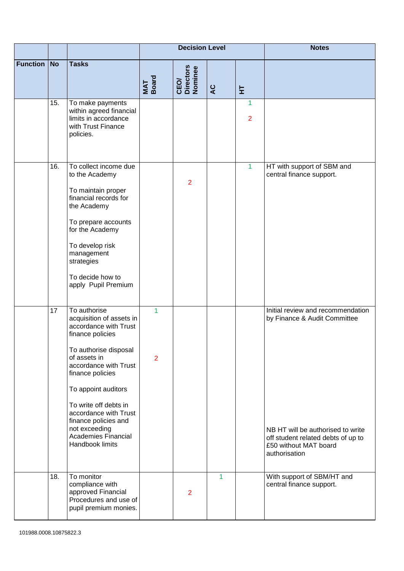|                 |           |                                                                                                                                                                                                                                                                                                                                                |                                | <b>Decision Level</b>        |                |                                | <b>Notes</b>                                                                                                                                                                           |
|-----------------|-----------|------------------------------------------------------------------------------------------------------------------------------------------------------------------------------------------------------------------------------------------------------------------------------------------------------------------------------------------------|--------------------------------|------------------------------|----------------|--------------------------------|----------------------------------------------------------------------------------------------------------------------------------------------------------------------------------------|
| <b>Function</b> | <b>No</b> | <b>Tasks</b>                                                                                                                                                                                                                                                                                                                                   | MAT<br>Board                   | CEO/<br>Directors<br>Nominee | $\overline{a}$ | 보                              |                                                                                                                                                                                        |
|                 | 15.       | To make payments<br>within agreed financial<br>limits in accordance<br>with Trust Finance<br>policies.                                                                                                                                                                                                                                         |                                |                              |                | $\mathbf{1}$<br>$\overline{2}$ |                                                                                                                                                                                        |
|                 | 16.       | To collect income due<br>to the Academy<br>To maintain proper<br>financial records for<br>the Academy<br>To prepare accounts<br>for the Academy<br>To develop risk<br>management<br>strategies<br>To decide how to<br>apply Pupil Premium                                                                                                      |                                | $\overline{2}$               |                | 1                              | HT with support of SBM and<br>central finance support.                                                                                                                                 |
|                 | 17        | To authorise<br>acquisition of assets in<br>accordance with Trust<br>finance policies<br>To authorise disposal<br>of assets in<br>accordance with Trust<br>finance policies<br>To appoint auditors<br>To write off debts in<br>accordance with Trust<br>finance policies and<br>not exceeding<br><b>Academies Financial</b><br>Handbook limits | $\mathbf{1}$<br>$\overline{2}$ |                              |                |                                | Initial review and recommendation<br>by Finance & Audit Committee<br>NB HT will be authorised to write<br>off student related debts of up to<br>£50 without MAT board<br>authorisation |
|                 | 18.       | To monitor<br>compliance with<br>approved Financial<br>Procedures and use of<br>pupil premium monies.                                                                                                                                                                                                                                          |                                | $\overline{2}$               | 1              |                                | With support of SBM/HT and<br>central finance support.                                                                                                                                 |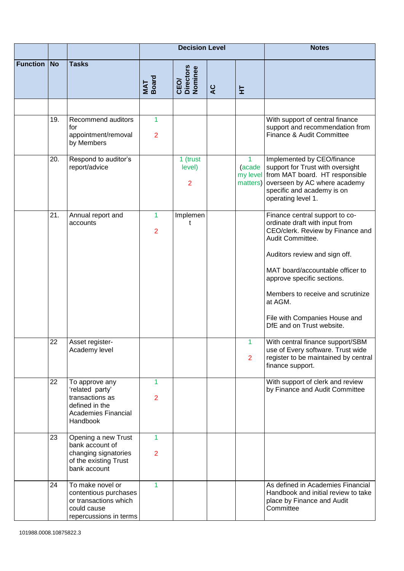|                 |           |                                                                                                                  |                                | <b>Decision Level</b>                |   |                     | <b>Notes</b>                                                                                                                                                                                                                                                                                                                              |
|-----------------|-----------|------------------------------------------------------------------------------------------------------------------|--------------------------------|--------------------------------------|---|---------------------|-------------------------------------------------------------------------------------------------------------------------------------------------------------------------------------------------------------------------------------------------------------------------------------------------------------------------------------------|
| <b>Function</b> | <b>No</b> | <b>Tasks</b>                                                                                                     | MAT<br>Board                   | CEO/<br>Directors<br>Nominee         | Q | 보                   |                                                                                                                                                                                                                                                                                                                                           |
|                 |           |                                                                                                                  |                                |                                      |   |                     |                                                                                                                                                                                                                                                                                                                                           |
|                 | 19.       | Recommend auditors<br>for<br>appointment/removal<br>by Members                                                   | 1<br>$\overline{2}$            |                                      |   |                     | With support of central finance<br>support and recommendation from<br>Finance & Audit Committee                                                                                                                                                                                                                                           |
|                 | 20.       | Respond to auditor's<br>report/advice                                                                            |                                | 1 (trust<br>level)<br>$\overline{2}$ |   | 1<br>(acade         | Implemented by CEO/finance<br>support for Trust with oversight<br>my level from MAT board. HT responsible<br>matters) overseen by AC where academy<br>specific and academy is on<br>operating level 1.                                                                                                                                    |
|                 | 21.       | Annual report and<br>accounts                                                                                    | $\mathbf{1}$<br>$\overline{2}$ | Implemen<br>t                        |   |                     | Finance central support to co-<br>ordinate draft with input from<br>CEO/clerk. Review by Finance and<br>Audit Committee.<br>Auditors review and sign off.<br>MAT board/accountable officer to<br>approve specific sections.<br>Members to receive and scrutinize<br>at AGM.<br>File with Companies House and<br>DfE and on Trust website. |
|                 | 22        | Asset register-<br>Academy level                                                                                 |                                |                                      |   | 1<br>$\overline{2}$ | With central finance support/SBM<br>use of Every software. Trust wide<br>register to be maintained by central<br>finance support.                                                                                                                                                                                                         |
|                 | 22        | To approve any<br>'related party'<br>transactions as<br>defined in the<br><b>Academies Financial</b><br>Handbook | $\mathbf{1}$<br>$\overline{2}$ |                                      |   |                     | With support of clerk and review<br>by Finance and Audit Committee                                                                                                                                                                                                                                                                        |
|                 | 23        | Opening a new Trust<br>bank account of<br>changing signatories<br>of the existing Trust<br>bank account          | 1<br>$\overline{2}$            |                                      |   |                     |                                                                                                                                                                                                                                                                                                                                           |
|                 | 24        | To make novel or<br>contentious purchases<br>or transactions which<br>could cause<br>repercussions in terms      | 1                              |                                      |   |                     | As defined in Academies Financial<br>Handbook and initial review to take<br>place by Finance and Audit<br>Committee                                                                                                                                                                                                                       |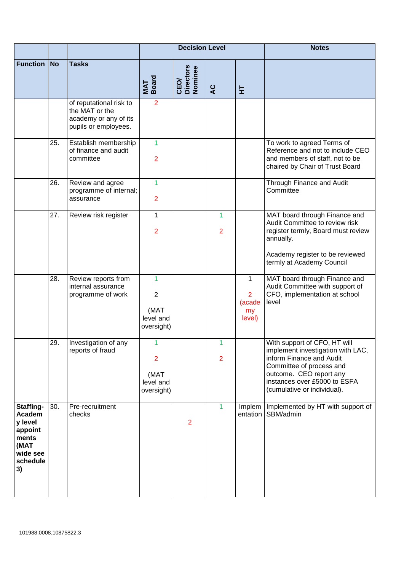|                                                                                                 |           |                                                                                            |                                                        | <b>Decision Level</b>        |                                |                                               | <b>Notes</b>                                                                                                                                                                                                        |
|-------------------------------------------------------------------------------------------------|-----------|--------------------------------------------------------------------------------------------|--------------------------------------------------------|------------------------------|--------------------------------|-----------------------------------------------|---------------------------------------------------------------------------------------------------------------------------------------------------------------------------------------------------------------------|
| <b>Function</b>                                                                                 | <b>No</b> | <b>Tasks</b>                                                                               | MAT<br>Board                                           | CEO/<br>Directors<br>Nominee | $\overline{a}$                 | 보                                             |                                                                                                                                                                                                                     |
|                                                                                                 |           | of reputational risk to<br>the MAT or the<br>academy or any of its<br>pupils or employees. | $\overline{2}$                                         |                              |                                |                                               |                                                                                                                                                                                                                     |
|                                                                                                 | 25.       | Establish membership<br>of finance and audit<br>committee                                  | $\overline{1}$<br>$\overline{2}$                       |                              |                                |                                               | To work to agreed Terms of<br>Reference and not to include CEO<br>and members of staff, not to be<br>chaired by Chair of Trust Board                                                                                |
|                                                                                                 | 26.       | Review and agree<br>programme of internal;<br>assurance                                    | $\mathbf{1}$<br>$\overline{2}$                         |                              |                                |                                               | Through Finance and Audit<br>Committee                                                                                                                                                                              |
|                                                                                                 | 27.       | Review risk register                                                                       | $\mathbf{1}$<br>$\overline{2}$                         |                              | $\mathbf{1}$<br>$\overline{2}$ |                                               | MAT board through Finance and<br>Audit Committee to review risk<br>register termly, Board must review<br>annually.<br>Academy register to be reviewed<br>termly at Academy Council                                  |
|                                                                                                 | 28.       | Review reports from<br>internal assurance<br>programme of work                             | 1<br>$\overline{2}$<br>(MAT<br>level and<br>oversight) |                              |                                | 1<br>$\overline{2}$<br>(acade<br>my<br>level) | MAT board through Finance and<br>Audit Committee with support of<br>CFO, implementation at school<br>level                                                                                                          |
|                                                                                                 | 29.       | Investigation of any<br>reports of fraud                                                   | 1<br>$\overline{2}$<br>(MAT<br>level and<br>oversight) |                              | 1<br>$\overline{2}$            |                                               | With support of CFO, HT will<br>implement investigation with LAC,<br>inform Finance and Audit<br>Committee of process and<br>outcome. CEO report any<br>instances over £5000 to ESFA<br>(cumulative or individual). |
| Staffing-<br><b>Academ</b><br>y level<br>appoint<br>ments<br>(MAT<br>wide see<br>schedule<br>3) | 30.       | Pre-recruitment<br>checks                                                                  |                                                        | $\overline{2}$               | $\mathbf{1}$                   | Implem<br>entation                            | Implemented by HT with support of<br>SBM/admin                                                                                                                                                                      |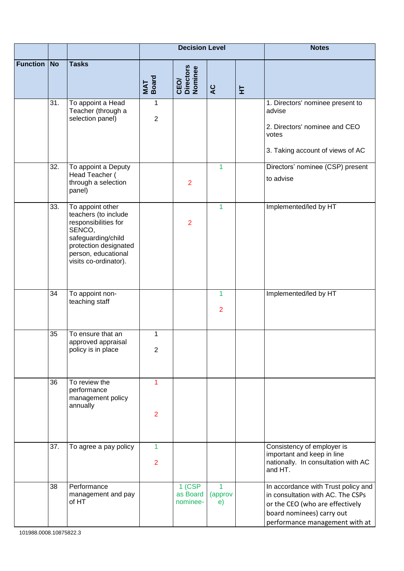|                 |           |                                                                                                                                                                           |                                | <b>Decision Level</b>            |                                |   | <b>Notes</b>                                                                                                                                                               |
|-----------------|-----------|---------------------------------------------------------------------------------------------------------------------------------------------------------------------------|--------------------------------|----------------------------------|--------------------------------|---|----------------------------------------------------------------------------------------------------------------------------------------------------------------------------|
| <b>Function</b> | <b>No</b> | <b>Tasks</b>                                                                                                                                                              | MAT<br>Board                   | CEO/<br>Directors<br>Nominee     | $\overline{a}$                 | 튚 |                                                                                                                                                                            |
|                 | 31.       | To appoint a Head<br>Teacher (through a<br>selection panel)                                                                                                               | 1<br>$\overline{2}$            |                                  |                                |   | 1. Directors' nominee present to<br>advise<br>2. Directors' nominee and CEO<br>votes<br>3. Taking account of views of AC                                                   |
|                 | 32.       | To appoint a Deputy<br>Head Teacher (<br>through a selection<br>panel)                                                                                                    |                                | $\overline{2}$                   | $\mathbf{1}$                   |   | Directors' nominee (CSP) present<br>to advise                                                                                                                              |
|                 | 33.       | To appoint other<br>teachers (to include<br>responsibilities for<br>SENCO,<br>safeguarding/child<br>protection designated<br>person, educational<br>visits co-ordinator). |                                | $\overline{2}$                   | 1                              |   | Implemented/led by HT                                                                                                                                                      |
|                 | 34        | To appoint non-<br>teaching staff                                                                                                                                         |                                |                                  | $\mathbf{1}$<br>$\overline{2}$ |   | Implemented/led by HT                                                                                                                                                      |
|                 | 35        | To ensure that an<br>approved appraisal<br>policy is in place                                                                                                             | 1<br>$\overline{2}$            |                                  |                                |   |                                                                                                                                                                            |
|                 | 36        | To review the<br>performance<br>management policy<br>annually                                                                                                             | 1<br>$\overline{2}$            |                                  |                                |   |                                                                                                                                                                            |
|                 | 37.       | To agree a pay policy                                                                                                                                                     | $\mathbf{1}$<br>$\overline{2}$ |                                  |                                |   | Consistency of employer is<br>important and keep in line<br>nationally. In consultation with AC<br>and HT.                                                                 |
|                 | 38        | Performance<br>management and pay<br>of HT                                                                                                                                |                                | $1$ (CSP<br>as Board<br>nominee- | 1<br>(approv<br>e)             |   | In accordance with Trust policy and<br>in consultation with AC. The CSPs<br>or the CEO (who are effectively<br>board nominees) carry out<br>performance management with at |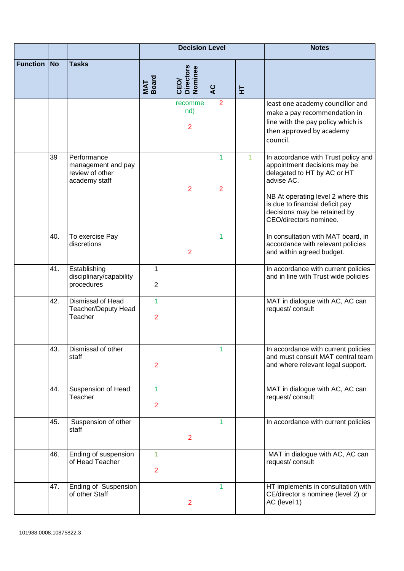|                 |           |                                                                       |                                  | <b>Decision Level</b>                     |                     | <b>Notes</b> |                                                                                                                                                                                                                                                     |
|-----------------|-----------|-----------------------------------------------------------------------|----------------------------------|-------------------------------------------|---------------------|--------------|-----------------------------------------------------------------------------------------------------------------------------------------------------------------------------------------------------------------------------------------------------|
| <b>Function</b> | <b>No</b> | <b>Tasks</b>                                                          | MAT<br>Board                     | <b>Directors</b><br>Nominee<br><b>CEO</b> | $\overline{a}$      | 보            |                                                                                                                                                                                                                                                     |
|                 |           |                                                                       |                                  | recomme<br>nd)<br>$\overline{2}$          | $\overline{2}$      |              | least one academy councillor and<br>make a pay recommendation in<br>line with the pay policy which is<br>then approved by academy<br>council.                                                                                                       |
|                 | 39        | Performance<br>management and pay<br>review of other<br>academy staff |                                  | $\overline{2}$                            | 1<br>$\overline{2}$ |              | In accordance with Trust policy and<br>appointment decisions may be<br>delegated to HT by AC or HT<br>advise AC.<br>NB At operating level 2 where this<br>is due to financial deficit pay<br>decisions may be retained by<br>CEO/directors nominee. |
|                 | 40.       | To exercise Pay<br>discretions                                        |                                  | $\overline{2}$                            | $\mathbf{1}$        |              | In consultation with MAT board, in<br>accordance with relevant policies<br>and within agreed budget.                                                                                                                                                |
|                 | 41.       | Establishing<br>disciplinary/capability<br>procedures                 | $\mathbf{1}$<br>$\overline{2}$   |                                           |                     |              | In accordance with current policies<br>and in line with Trust wide policies                                                                                                                                                                         |
|                 | 42.       | Dismissal of Head<br>Teacher/Deputy Head<br>Teacher                   | $\overline{1}$<br>$\overline{2}$ |                                           |                     |              | MAT in dialogue with AC, AC can<br>request/consult                                                                                                                                                                                                  |
|                 | 43.       | Dismissal of other<br>staff                                           | $\overline{2}$                   |                                           | 1                   |              | In accordance with current policies<br>and must consult MAT central team<br>and where relevant legal support.                                                                                                                                       |
|                 | 44.       | Suspension of Head<br>Teacher                                         | 1<br>$\overline{2}$              |                                           |                     |              | MAT in dialogue with AC, AC can<br>request/consult                                                                                                                                                                                                  |
|                 | 45.       | Suspension of other<br>staff                                          |                                  | $\overline{2}$                            | 1                   |              | In accordance with current policies                                                                                                                                                                                                                 |
|                 | 46.       | Ending of suspension<br>of Head Teacher                               | 1<br>$\overline{2}$              |                                           |                     |              | MAT in dialogue with AC, AC can<br>request/consult                                                                                                                                                                                                  |
|                 | 47.       | Ending of Suspension<br>of other Staff                                |                                  | $\overline{2}$                            | 1                   |              | HT implements in consultation with<br>CE/director s nominee (level 2) or<br>AC (level 1)                                                                                                                                                            |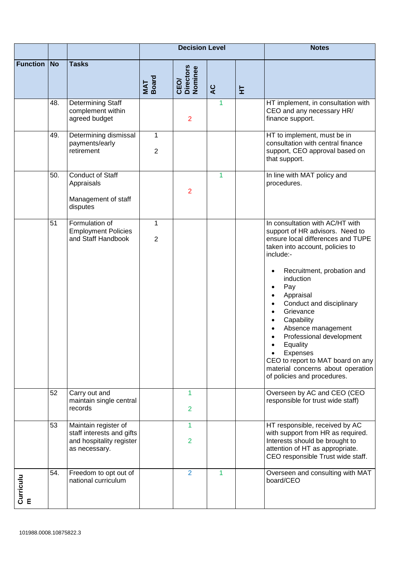|                 |           |                                                                                                |                     | <b>Decision Level</b>        |                |   | <b>Notes</b>                                                                                                                                                                                                                                                                                                                                                                                                                                                                                                                                                            |
|-----------------|-----------|------------------------------------------------------------------------------------------------|---------------------|------------------------------|----------------|---|-------------------------------------------------------------------------------------------------------------------------------------------------------------------------------------------------------------------------------------------------------------------------------------------------------------------------------------------------------------------------------------------------------------------------------------------------------------------------------------------------------------------------------------------------------------------------|
| <b>Function</b> | <b>No</b> | <b>Tasks</b>                                                                                   | MAT<br>Board        | CEO/<br>Directors<br>Nominee | $\overline{a}$ | 보 |                                                                                                                                                                                                                                                                                                                                                                                                                                                                                                                                                                         |
|                 | 48.       | Determining Staff<br>complement within<br>agreed budget                                        |                     | $\overline{2}$               | 1              |   | HT implement, in consultation with<br>CEO and any necessary HR/<br>finance support.                                                                                                                                                                                                                                                                                                                                                                                                                                                                                     |
|                 | 49.       | Determining dismissal<br>payments/early<br>retirement                                          | 1<br>$\overline{2}$ |                              |                |   | HT to implement, must be in<br>consultation with central finance<br>support, CEO approval based on<br>that support.                                                                                                                                                                                                                                                                                                                                                                                                                                                     |
|                 | 50.       | <b>Conduct of Staff</b><br>Appraisals<br>Management of staff<br>disputes                       |                     | $\overline{2}$               | 1              |   | In line with MAT policy and<br>procedures.                                                                                                                                                                                                                                                                                                                                                                                                                                                                                                                              |
|                 | 51        | Formulation of<br><b>Employment Policies</b><br>and Staff Handbook                             | 1<br>$\overline{2}$ |                              |                |   | In consultation with AC/HT with<br>support of HR advisors. Need to<br>ensure local differences and TUPE<br>taken into account, policies to<br>include:-<br>Recruitment, probation and<br>٠<br>induction<br>Pay<br>$\bullet$<br>Appraisal<br>$\bullet$<br>Conduct and disciplinary<br>$\bullet$<br>Grievance<br>$\bullet$<br>Capability<br>$\bullet$<br>Absence management<br>$\bullet$<br>Professional development<br>Equality<br><b>Expenses</b><br>$\bullet$<br>CEO to report to MAT board on any<br>material concerns about operation<br>of policies and procedures. |
|                 | 52        | Carry out and<br>maintain single central<br>records                                            |                     | 1<br>2                       |                |   | Overseen by AC and CEO (CEO<br>responsible for trust wide staff)                                                                                                                                                                                                                                                                                                                                                                                                                                                                                                        |
|                 | 53        | Maintain register of<br>staff interests and gifts<br>and hospitality register<br>as necessary. |                     | 1<br>$\overline{2}$          |                |   | HT responsible, received by AC<br>with support from HR as required.<br>Interests should be brought to<br>attention of HT as appropriate.<br>CEO responsible Trust wide staff.                                                                                                                                                                                                                                                                                                                                                                                           |
| Curriculu<br>m  | 54.       | Freedom to opt out of<br>national curriculum                                                   |                     | $\overline{2}$               | 1              |   | Overseen and consulting with MAT<br>board/CEO                                                                                                                                                                                                                                                                                                                                                                                                                                                                                                                           |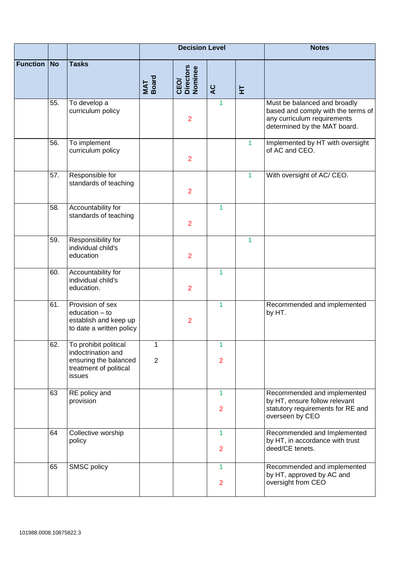|                 |           |                                                                                                          |                     | <b>Decision Level</b>        |                     |                      | <b>Notes</b>                                                                                                                      |
|-----------------|-----------|----------------------------------------------------------------------------------------------------------|---------------------|------------------------------|---------------------|----------------------|-----------------------------------------------------------------------------------------------------------------------------------|
| <b>Function</b> | <b>No</b> | <b>Tasks</b>                                                                                             | MAT<br>Board        | CEO/<br>Directors<br>Nominee | $\overline{a}$      | 보                    |                                                                                                                                   |
|                 | 55.       | To develop a<br>curriculum policy                                                                        |                     | $\overline{2}$               | $\mathbf{1}$        |                      | Must be balanced and broadly<br>based and comply with the terms of<br>any curriculum requirements<br>determined by the MAT board. |
|                 | 56.       | To implement<br>curriculum policy                                                                        |                     | $\overline{2}$               |                     | $\blacktriangleleft$ | Implemented by HT with oversight<br>of AC and CEO.                                                                                |
|                 | 57.       | Responsible for<br>standards of teaching                                                                 |                     | $\overline{2}$               |                     | 1                    | With oversight of AC/ CEO.                                                                                                        |
|                 | 58.       | Accountability for<br>standards of teaching                                                              |                     | $\overline{2}$               | $\mathbf{1}$        |                      |                                                                                                                                   |
|                 | 59.       | Responsibility for<br>individual child's<br>education                                                    |                     | $\overline{2}$               |                     | 1                    |                                                                                                                                   |
|                 | 60.       | Accountability for<br>individual child's<br>education.                                                   |                     | $\overline{2}$               | 1                   |                      |                                                                                                                                   |
|                 | 61.       | Provision of sex<br>education - to<br>establish and keep up<br>to date a written policy                  |                     | $\overline{2}$               | $\mathbf{1}$        |                      | Recommended and implemented<br>by HT.                                                                                             |
|                 | 62.       | To prohibit political<br>indoctrination and<br>ensuring the balanced<br>treatment of political<br>issues | 1<br>$\overline{2}$ |                              | 1<br>$\overline{2}$ |                      |                                                                                                                                   |
|                 | 63        | RE policy and<br>provision                                                                               |                     |                              | 1<br>$\overline{2}$ |                      | Recommended and implemented<br>by HT, ensure follow relevant<br>statutory requirements for RE and<br>overseen by CEO              |
|                 | 64        | Collective worship<br>policy                                                                             |                     |                              | 1<br>$\overline{2}$ |                      | Recommended and Implemented<br>by HT, in accordance with trust<br>deed/CE tenets.                                                 |
|                 | 65        | SMSC policy                                                                                              |                     |                              | 1<br>$\overline{2}$ |                      | Recommended and implemented<br>by HT, approved by AC and<br>oversight from CEO                                                    |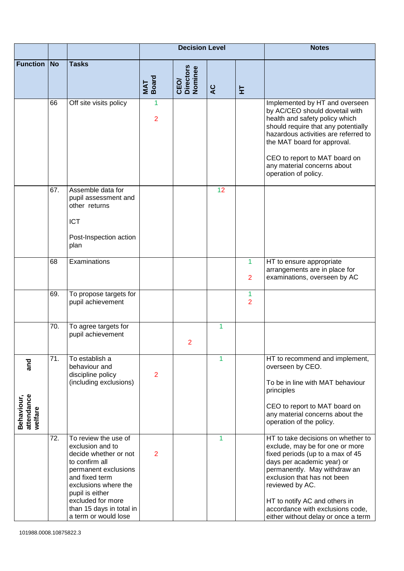|                                            |           |                                                                                                                                                                                                                                                   |                     | <b>Decision Level</b>        |    |                               | <b>Notes</b>                                                                                                                                                                                                                                                                                                                          |
|--------------------------------------------|-----------|---------------------------------------------------------------------------------------------------------------------------------------------------------------------------------------------------------------------------------------------------|---------------------|------------------------------|----|-------------------------------|---------------------------------------------------------------------------------------------------------------------------------------------------------------------------------------------------------------------------------------------------------------------------------------------------------------------------------------|
| <b>Function</b>                            | <b>No</b> | <b>Tasks</b>                                                                                                                                                                                                                                      | MAT<br>Board        | CEO/<br>Directors<br>Nominee | Q  | 보                             |                                                                                                                                                                                                                                                                                                                                       |
|                                            | 66        | Off site visits policy                                                                                                                                                                                                                            | 1<br>$\overline{2}$ |                              |    |                               | Implemented by HT and overseen<br>by AC/CEO should dovetail with<br>health and safety policy which<br>should require that any potentially<br>hazardous activities are referred to<br>the MAT board for approval.<br>CEO to report to MAT board on<br>any material concerns about<br>operation of policy.                              |
|                                            | 67.       | Assemble data for<br>pupil assessment and<br>other returns<br><b>ICT</b><br>Post-Inspection action<br>plan                                                                                                                                        |                     |                              | 12 |                               |                                                                                                                                                                                                                                                                                                                                       |
|                                            | 68        | Examinations                                                                                                                                                                                                                                      |                     |                              |    | 1<br>$\overline{2}$           | HT to ensure appropriate<br>arrangements are in place for<br>examinations, overseen by AC                                                                                                                                                                                                                                             |
|                                            | 69.       | To propose targets for<br>pupil achievement                                                                                                                                                                                                       |                     |                              |    | $\mathbf 1$<br>$\overline{2}$ |                                                                                                                                                                                                                                                                                                                                       |
|                                            | 70.       | To agree targets for<br>pupil achievement                                                                                                                                                                                                         |                     | 2                            | 1  |                               |                                                                                                                                                                                                                                                                                                                                       |
| and<br>attendance<br>Behaviour,<br>welfare | 71.       | To establish a<br>behaviour and<br>discipline policy<br>(including exclusions)                                                                                                                                                                    | $\overline{2}$      |                              | 1  |                               | HT to recommend and implement,<br>overseen by CEO.<br>To be in line with MAT behaviour<br>principles<br>CEO to report to MAT board on<br>any material concerns about the<br>operation of the policy.                                                                                                                                  |
|                                            | 72.       | To review the use of<br>exclusion and to<br>decide whether or not<br>to confirm all<br>permanent exclusions<br>and fixed term<br>exclusions where the<br>pupil is either<br>excluded for more<br>than 15 days in total in<br>a term or would lose | $\overline{2}$      |                              | 1  |                               | HT to take decisions on whether to<br>exclude, may be for one or more<br>fixed periods (up to a max of 45<br>days per academic year) or<br>permanently. May withdraw an<br>exclusion that has not been<br>reviewed by AC.<br>HT to notify AC and others in<br>accordance with exclusions code,<br>either without delay or once a term |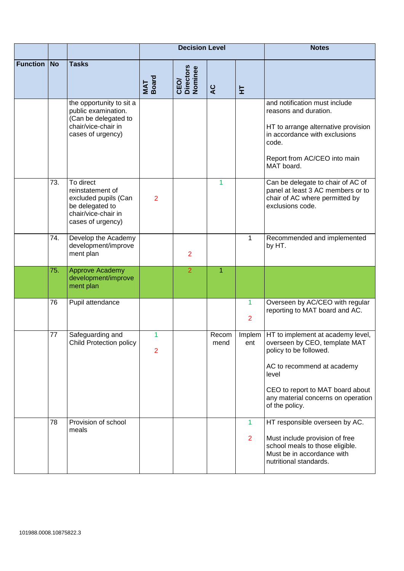|                 |           |                                                                                                                      |                     | <b>Decision Level</b>        |               |                                | <b>Notes</b>                                                                                                                                                                                                                             |
|-----------------|-----------|----------------------------------------------------------------------------------------------------------------------|---------------------|------------------------------|---------------|--------------------------------|------------------------------------------------------------------------------------------------------------------------------------------------------------------------------------------------------------------------------------------|
| <b>Function</b> | <b>No</b> | <b>Tasks</b>                                                                                                         | MAT<br>Board        | CEO/<br>Directors<br>Nominee | <b>SP</b>     | 보                              |                                                                                                                                                                                                                                          |
|                 |           | the opportunity to sit a<br>public examination.<br>(Can be delegated to<br>chair/vice-chair in<br>cases of urgency)  |                     |                              |               |                                | and notification must include<br>reasons and duration.<br>HT to arrange alternative provision<br>in accordance with exclusions<br>code.<br>Report from AC/CEO into main<br>MAT board.                                                    |
|                 | 73.       | To direct<br>reinstatement of<br>excluded pupils (Can<br>be delegated to<br>chair/vice-chair in<br>cases of urgency) | $\overline{2}$      |                              | 1             |                                | Can be delegate to chair of AC of<br>panel at least 3 AC members or to<br>chair of AC where permitted by<br>exclusions code.                                                                                                             |
|                 | 74.       | Develop the Academy<br>development/improve<br>ment plan                                                              |                     | $\overline{2}$               |               | 1                              | Recommended and implemented<br>by HT.                                                                                                                                                                                                    |
|                 | 75.       | <b>Approve Academy</b><br>development/improve<br>ment plan                                                           |                     | $\overline{2}$               | 1             |                                |                                                                                                                                                                                                                                          |
|                 | 76        | Pupil attendance                                                                                                     |                     |                              |               | $\mathbf{1}$<br>$\overline{2}$ | Overseen by AC/CEO with regular<br>reporting to MAT board and AC.                                                                                                                                                                        |
|                 | 77        | Safeguarding and<br>Child Protection policy                                                                          | 1<br>$\overline{2}$ |                              | Recom<br>mend | ent                            | Implem   HT to implement at academy level,<br>overseen by CEO, template MAT<br>policy to be followed.<br>AC to recommend at academy<br>level<br>CEO to report to MAT board about<br>any material concerns on operation<br>of the policy. |
|                 | 78        | Provision of school<br>meals                                                                                         |                     |                              |               | 1<br>$\overline{2}$            | HT responsible overseen by AC.<br>Must include provision of free<br>school meals to those eligible.<br>Must be in accordance with<br>nutritional standards.                                                                              |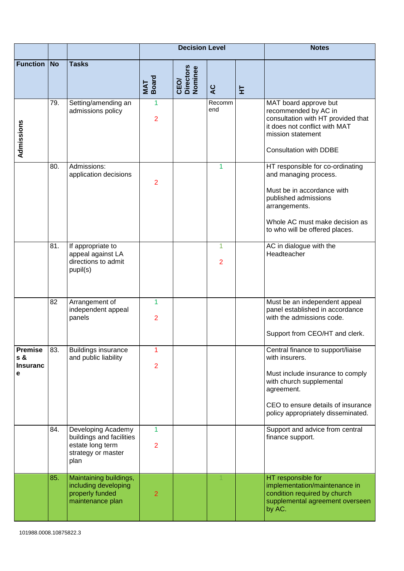|                                               |           |                                                                                                  |                     | <b>Decision Level</b>        |                     |   | <b>Notes</b>                                                                                                                                                                                                  |
|-----------------------------------------------|-----------|--------------------------------------------------------------------------------------------------|---------------------|------------------------------|---------------------|---|---------------------------------------------------------------------------------------------------------------------------------------------------------------------------------------------------------------|
| <b>Function</b>                               | <b>No</b> | <b>Tasks</b>                                                                                     | MAT<br>Board        | CEO/<br>Directors<br>Nominee | $\overline{a}$      | 보 |                                                                                                                                                                                                               |
| Admissions                                    | 79.       | Setting/amending an<br>admissions policy                                                         | 1<br>$\overline{2}$ |                              | Recomm<br>end       |   | MAT board approve but<br>recommended by AC in<br>consultation with HT provided that<br>it does not conflict with MAT<br>mission statement<br><b>Consultation with DDBE</b>                                    |
|                                               | 80.       | Admissions:<br>application decisions                                                             | $\overline{2}$      |                              | 1                   |   | HT responsible for co-ordinating<br>and managing process.<br>Must be in accordance with<br>published admissions<br>arrangements.<br>Whole AC must make decision as<br>to who will be offered places.          |
|                                               | 81.       | If appropriate to<br>appeal against LA<br>directions to admit<br>pupil(s)                        |                     |                              | 1<br>$\overline{2}$ |   | AC in dialogue with the<br>Headteacher                                                                                                                                                                        |
|                                               | 82        | Arrangement of<br>independent appeal<br>panels                                                   | 1<br>$\overline{2}$ |                              |                     |   | Must be an independent appeal<br>panel established in accordance<br>with the admissions code.<br>Support from CEO/HT and clerk.                                                                               |
| <b>Premise</b><br>s &<br><b>Insuranc</b><br>e | 83.       | <b>Buildings insurance</b><br>and public liability                                               | 1<br>$\overline{2}$ |                              |                     |   | Central finance to support/liaise<br>with insurers.<br>Must include insurance to comply<br>with church supplemental<br>agreement.<br>CEO to ensure details of insurance<br>policy appropriately disseminated. |
|                                               | 84.       | Developing Academy<br>buildings and facilities<br>estate long term<br>strategy or master<br>plan | 1<br>$\overline{2}$ |                              |                     |   | Support and advice from central<br>finance support.                                                                                                                                                           |
|                                               | 85.       | Maintaining buildings,<br>including developing<br>properly funded<br>maintenance plan            | $\overline{2}$      |                              |                     |   | HT responsible for<br>implementation/maintenance in<br>condition required by church<br>supplemental agreement overseen<br>by AC.                                                                              |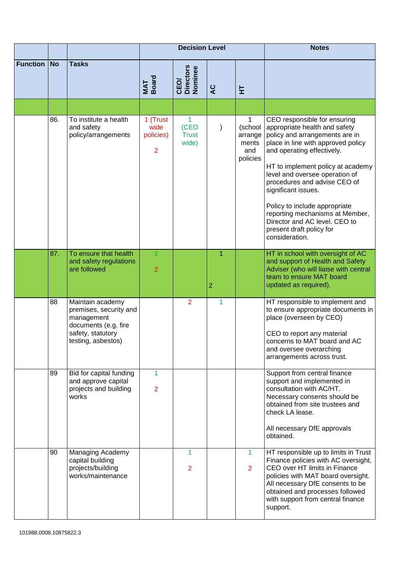|                 |           |                                                                                                                             | <b>Decision Level</b>                           |                                            |                     |                                                | <b>Notes</b>                                                                                                                                                                                                                                                                                                                                                                                                                                         |
|-----------------|-----------|-----------------------------------------------------------------------------------------------------------------------------|-------------------------------------------------|--------------------------------------------|---------------------|------------------------------------------------|------------------------------------------------------------------------------------------------------------------------------------------------------------------------------------------------------------------------------------------------------------------------------------------------------------------------------------------------------------------------------------------------------------------------------------------------------|
| <b>Function</b> | <b>No</b> | <b>Tasks</b>                                                                                                                | MAT<br>Board                                    | <b>Directors</b><br>Nominee<br><b>CEO/</b> | <b>SP</b>           | 보                                              |                                                                                                                                                                                                                                                                                                                                                                                                                                                      |
|                 |           |                                                                                                                             |                                                 |                                            |                     |                                                |                                                                                                                                                                                                                                                                                                                                                                                                                                                      |
|                 | 86.       | To institute a health<br>and safety<br>policy/arrangements                                                                  | 1 (Trust<br>wide<br>policies)<br>$\overline{2}$ | 1<br>(CEO<br><b>Trust</b><br>wide)         |                     | (school<br>arrange<br>ments<br>and<br>policies | CEO responsible for ensuring<br>appropriate health and safety<br>policy and arrangements are in<br>place in line with approved policy<br>and operating effectively.<br>HT to implement policy at academy<br>level and oversee operation of<br>procedures and advise CEO of<br>significant issues.<br>Policy to include appropriate<br>reporting mechanisms at Member,<br>Director and AC level. CEO to<br>present draft policy for<br>consideration. |
|                 | 87.       | To ensure that health<br>and safety regulations<br>are followed                                                             | 1<br>$\overline{2}$                             |                                            | 1<br>$\overline{2}$ |                                                | HT in school with oversight of AC<br>and support of Health and Safety<br>Adviser (who will liaise with central<br>team to ensure MAT board<br>updated as required).                                                                                                                                                                                                                                                                                  |
|                 | 88        | Maintain academy<br>premises, security and<br>management<br>documents (e.g. fire<br>safety, statutory<br>testing, asbestos) |                                                 | $\overline{2}$                             | 1                   |                                                | HT responsible to implement and<br>to ensure appropriate documents in<br>place (overseen by CEO)<br>CEO to report any material<br>concerns to MAT board and AC<br>and oversee overarching<br>arrangements across trust.                                                                                                                                                                                                                              |
|                 | 89        | Bid for capital funding<br>and approve capital<br>projects and building<br>works                                            | 1<br>$\overline{2}$                             |                                            |                     |                                                | Support from central finance<br>support and implemented in<br>consultation with AC/HT.<br>Necessary consents should be<br>obtained from site trustees and<br>check LA lease.<br>All necessary DfE approvals<br>obtained.                                                                                                                                                                                                                             |
|                 | 90        | <b>Managing Academy</b><br>capital building<br>projects/building<br>works/maintenance                                       |                                                 | 1<br>$\overline{2}$                        |                     | 1<br>$\overline{2}$                            | HT responsible up to limits in Trust<br>Finance policies with AC oversight,<br>CEO over HT limits in Finance<br>policies with MAT board oversight.<br>All necessary DfE consents to be<br>obtained and processes followed<br>with support from central finance<br>support.                                                                                                                                                                           |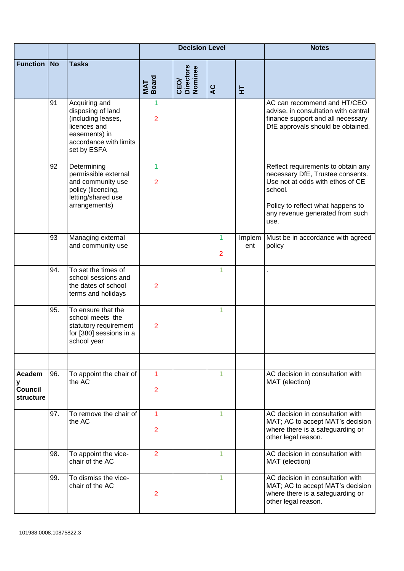|                                            |           |                                                                                                                                    | <b>Decision Level</b> |                              |                     |               | <b>Notes</b>                                                                                                                                                                                          |
|--------------------------------------------|-----------|------------------------------------------------------------------------------------------------------------------------------------|-----------------------|------------------------------|---------------------|---------------|-------------------------------------------------------------------------------------------------------------------------------------------------------------------------------------------------------|
| <b>Function</b>                            | <b>No</b> | <b>Tasks</b>                                                                                                                       | MAT<br>Board          | CEO/<br>Directors<br>Nominee | ပ္ရွ                | 보             |                                                                                                                                                                                                       |
|                                            | 91        | Acquiring and<br>disposing of land<br>(including leases,<br>licences and<br>easements) in<br>accordance with limits<br>set by ESFA | 1<br>$\overline{2}$   |                              |                     |               | AC can recommend and HT/CEO<br>advise, in consultation with central<br>finance support and all necessary<br>DfE approvals should be obtained.                                                         |
|                                            | 92        | Determining<br>permissible external<br>and community use<br>policy (licencing,<br>letting/shared use<br>arrangements)              | 1<br>$\overline{2}$   |                              |                     |               | Reflect requirements to obtain any<br>necessary DfE, Trustee consents.<br>Use not at odds with ethos of CE<br>school.<br>Policy to reflect what happens to<br>any revenue generated from such<br>use. |
|                                            | 93        | Managing external<br>and community use                                                                                             |                       |                              | 1<br>$\overline{2}$ | Implem<br>ent | Must be in accordance with agreed<br>policy                                                                                                                                                           |
|                                            | 94.       | To set the times of<br>school sessions and<br>the dates of school<br>terms and holidays                                            | $\overline{2}$        |                              | 1                   |               |                                                                                                                                                                                                       |
|                                            | 95.       | To ensure that the<br>school meets the<br>statutory requirement<br>for [380] sessions in a<br>school year                          | $\overline{2}$        |                              | $\mathbf{1}$        |               |                                                                                                                                                                                                       |
| Academ<br>у<br><b>Council</b><br>structure | 96.       | To appoint the chair of<br>the AC                                                                                                  | 1<br>$\overline{2}$   |                              | 1                   |               | AC decision in consultation with<br>MAT (election)                                                                                                                                                    |
|                                            | 97.       | To remove the chair of<br>the AC                                                                                                   | 1<br>$\overline{2}$   |                              | 1                   |               | AC decision in consultation with<br>MAT; AC to accept MAT's decision<br>where there is a safeguarding or<br>other legal reason.                                                                       |
|                                            | 98.       | To appoint the vice-<br>chair of the AC                                                                                            | $\overline{2}$        |                              | 1                   |               | AC decision in consultation with<br>MAT (election)                                                                                                                                                    |
|                                            | 99.       | To dismiss the vice-<br>chair of the AC                                                                                            | $\overline{2}$        |                              |                     |               | AC decision in consultation with<br>MAT; AC to accept MAT's decision<br>where there is a safeguarding or<br>other legal reason.                                                                       |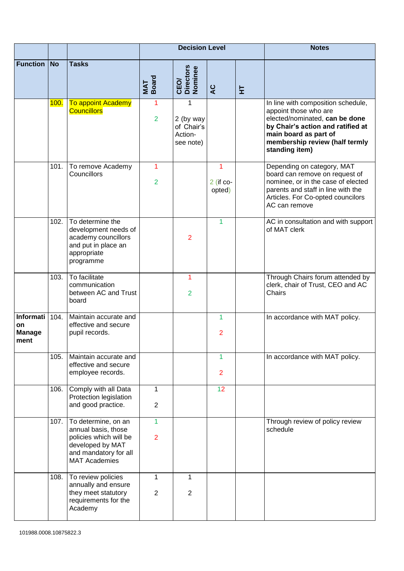|                                          |           |                                                                                                                                           | <b>Decision Level</b>          |                                                      |                            |   | <b>Notes</b>                                                                                                                                                                                                    |
|------------------------------------------|-----------|-------------------------------------------------------------------------------------------------------------------------------------------|--------------------------------|------------------------------------------------------|----------------------------|---|-----------------------------------------------------------------------------------------------------------------------------------------------------------------------------------------------------------------|
| <b>Function</b>                          | <b>No</b> | <b>Tasks</b>                                                                                                                              | MAT<br>Board                   | CEO/<br>Directors<br>Nominee                         | ပ္ရွ                       | 보 |                                                                                                                                                                                                                 |
|                                          | 100.      | <b>To appoint Academy</b><br><b>Councillors</b>                                                                                           | 1<br>$\overline{2}$            | 1<br>2 (by way<br>of Chair's<br>Action-<br>see note) |                            |   | In line with composition schedule,<br>appoint those who are<br>elected/nominated, can be done<br>by Chair's action and ratified at<br>main board as part of<br>membership review (half termly<br>standing item) |
|                                          | 101.      | To remove Academy<br>Councillors                                                                                                          | 1<br>$\overline{2}$            |                                                      | 1<br>$2$ (if co-<br>opted) |   | Depending on category, MAT<br>board can remove on request of<br>nominee, or in the case of elected<br>parents and staff in line with the<br>Articles. For Co-opted councilors<br>AC can remove                  |
|                                          | 102.      | To determine the<br>development needs of<br>academy councillors<br>and put in place an<br>appropriate<br>programme                        |                                | $\overline{2}$                                       | 1                          |   | AC in consultation and with support<br>of MAT clerk                                                                                                                                                             |
|                                          | 103.      | To facilitate<br>communication<br>between AC and Trust<br>board                                                                           |                                | 1<br>$\overline{2}$                                  |                            |   | Through Chairs forum attended by<br>clerk, chair of Trust, CEO and AC<br>Chairs                                                                                                                                 |
| Informati<br>on<br><b>Manage</b><br>ment | 104.      | Maintain accurate and<br>effective and secure<br>pupil records.                                                                           |                                |                                                      | 1<br>$\overline{2}$        |   | In accordance with MAT policy.                                                                                                                                                                                  |
|                                          | 105.      | Maintain accurate and<br>effective and secure<br>employee records.                                                                        |                                |                                                      | 1<br>$\overline{2}$        |   | In accordance with MAT policy.                                                                                                                                                                                  |
|                                          | 106.      | Comply with all Data<br>Protection legislation<br>and good practice.                                                                      | 1<br>$\overline{2}$            |                                                      | 12                         |   |                                                                                                                                                                                                                 |
|                                          | 107.      | To determine, on an<br>annual basis, those<br>policies which will be<br>developed by MAT<br>and mandatory for all<br><b>MAT Academies</b> | $\mathbf{1}$<br>$\overline{2}$ |                                                      |                            |   | Through review of policy review<br>schedule                                                                                                                                                                     |
|                                          | 108.      | To review policies<br>annually and ensure<br>they meet statutory<br>requirements for the<br>Academy                                       | $\mathbf{1}$<br>$\overline{2}$ | 1<br>2                                               |                            |   |                                                                                                                                                                                                                 |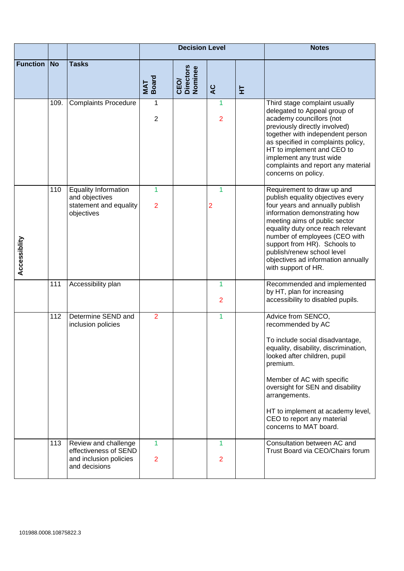|                 |           |                                                                                          | <b>Decision Level</b> |                              |                     |   | <b>Notes</b>                                                                                                                                                                                                                                                                                                                                                          |
|-----------------|-----------|------------------------------------------------------------------------------------------|-----------------------|------------------------------|---------------------|---|-----------------------------------------------------------------------------------------------------------------------------------------------------------------------------------------------------------------------------------------------------------------------------------------------------------------------------------------------------------------------|
| <b>Function</b> | <b>No</b> | <b>Tasks</b>                                                                             | MAT<br>Board          | CEO/<br>Directors<br>Nominee | $\overline{a}$      | 보 |                                                                                                                                                                                                                                                                                                                                                                       |
|                 | 109.      | <b>Complaints Procedure</b>                                                              | 1<br>$\overline{2}$   |                              | 1<br>$\overline{2}$ |   | Third stage complaint usually<br>delegated to Appeal group of<br>academy councillors (not<br>previously directly involved)<br>together with independent person<br>as specified in complaints policy,<br>HT to implement and CEO to<br>implement any trust wide<br>complaints and report any material<br>concerns on policy.                                           |
| Accessiblity    | 110       | <b>Equality Information</b><br>and objectives<br>statement and equality<br>objectives    | 1<br>$\overline{2}$   |                              | 1<br>$\overline{a}$ |   | Requirement to draw up and<br>publish equality objectives every<br>four years and annually publish<br>information demonstrating how<br>meeting aims of public sector<br>equality duty once reach relevant<br>number of employees (CEO with<br>support from HR). Schools to<br>publish/renew school level<br>objectives ad information annually<br>with support of HR. |
|                 | 111       | Accessibility plan                                                                       |                       |                              | 1<br>$\overline{2}$ |   | Recommended and implemented<br>by HT, plan for increasing<br>accessibility to disabled pupils.                                                                                                                                                                                                                                                                        |
|                 | 112       | Determine SEND and<br>inclusion policies                                                 | $\overline{2}$        |                              | 1                   |   | Advice from SENCO,<br>recommended by AC<br>To include social disadvantage,<br>equality, disability, discrimination,<br>looked after children, pupil<br>premium.<br>Member of AC with specific<br>oversight for SEN and disability<br>arrangements.<br>HT to implement at academy level,<br>CEO to report any material<br>concerns to MAT board.                       |
|                 | 113       | Review and challenge<br>effectiveness of SEND<br>and inclusion policies<br>and decisions | 1<br>$\overline{2}$   |                              | 1<br>$\overline{2}$ |   | Consultation between AC and<br>Trust Board via CEO/Chairs forum                                                                                                                                                                                                                                                                                                       |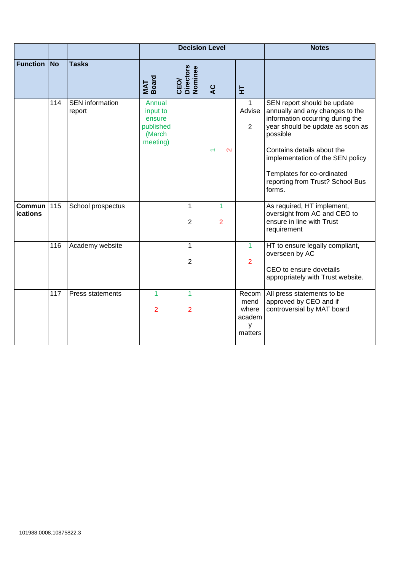|                                  |           |                                  |                                                                 | <b>Decision Level</b>        |                     | <b>Notes</b>                                     |                                                                                                                                                                                                                                                                                                  |
|----------------------------------|-----------|----------------------------------|-----------------------------------------------------------------|------------------------------|---------------------|--------------------------------------------------|--------------------------------------------------------------------------------------------------------------------------------------------------------------------------------------------------------------------------------------------------------------------------------------------------|
| <b>Function</b>                  | <b>No</b> | <b>Tasks</b>                     | MAT<br>Board                                                    | CEO/<br>Directors<br>Nominee | ပ္ရွ                | 보                                                |                                                                                                                                                                                                                                                                                                  |
|                                  | 114       | <b>SEN</b> information<br>report | Annual<br>input to<br>ensure<br>published<br>(March<br>meeting) |                              | $\mathbf{\Omega}$   | $\mathbf{1}$<br>Advise<br>$\overline{2}$         | SEN report should be update<br>annually and any changes to the<br>information occurring during the<br>year should be update as soon as<br>possible<br>Contains details about the<br>implementation of the SEN policy<br>Templates for co-ordinated<br>reporting from Trust? School Bus<br>forms. |
| <b>Commun</b><br><b>ications</b> | 115       | School prospectus                |                                                                 | 1<br>2                       | 1<br>$\overline{2}$ |                                                  | As required, HT implement,<br>oversight from AC and CEO to<br>ensure in line with Trust<br>requirement                                                                                                                                                                                           |
|                                  | 116       | Academy website                  |                                                                 | 1<br>$\overline{2}$          |                     | 1<br>$\overline{2}$                              | HT to ensure legally compliant,<br>overseen by AC<br>CEO to ensure dovetails<br>appropriately with Trust website.                                                                                                                                                                                |
|                                  | 117       | <b>Press statements</b>          | 1<br>$\overline{2}$                                             | 1<br>$\overline{2}$          |                     | Recom<br>mend<br>where<br>academ<br>y<br>matters | All press statements to be<br>approved by CEO and if<br>controversial by MAT board                                                                                                                                                                                                               |